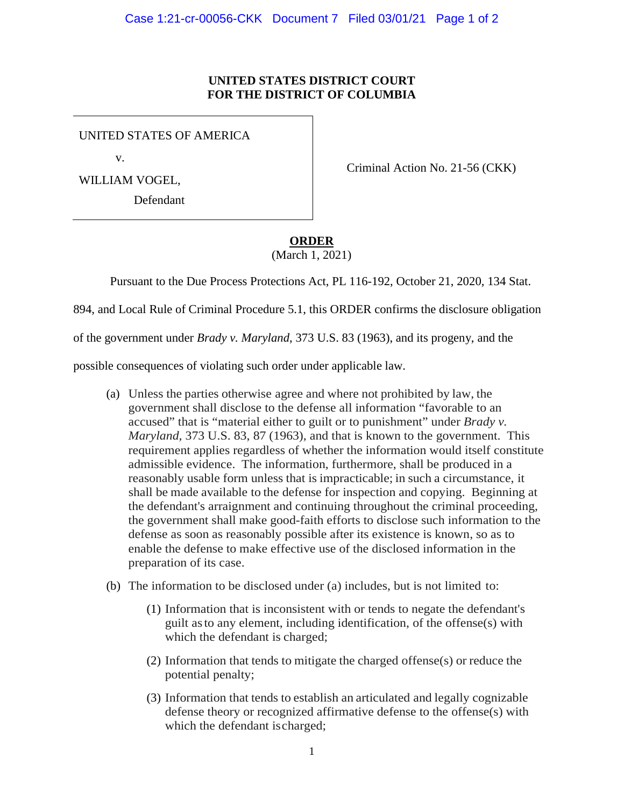## **UNITED STATES DISTRICT COURT FOR THE DISTRICT OF COLUMBIA**

UNITED STATES OF AMERICA

v.

WILLIAM VOGEL,

Defendant

Criminal Action No. 21-56 (CKK)

**ORDER**

(March 1, 2021)

Pursuant to the Due Process Protections Act, PL 116-192, October 21, 2020, 134 Stat.

894, and Local Rule of Criminal Procedure 5.1, this ORDER confirms the disclosure obligation

of the government under *Brady v. Maryland*, 373 U.S. 83 (1963), and its progeny, and the

possible consequences of violating such order under applicable law.

- (a) Unless the parties otherwise agree and where not prohibited by law, the government shall disclose to the defense all information "favorable to an accused" that is "material either to guilt or to punishment" under *Brady v. Maryland,* 373 U.S. 83, 87 (1963), and that is known to the government. This requirement applies regardless of whether the information would itself constitute admissible evidence. The information, furthermore, shall be produced in a reasonably usable form unless that is impracticable; in such a circumstance, it shall be made available to the defense for inspection and copying. Beginning at the defendant's arraignment and continuing throughout the criminal proceeding, the government shall make good-faith efforts to disclose such information to the defense as soon as reasonably possible after its existence is known, so as to enable the defense to make effective use of the disclosed information in the preparation of its case.
- (b) The information to be disclosed under (a) includes, but is not limited to:
	- (1) Information that is inconsistent with or tends to negate the defendant's guilt asto any element, including identification, of the offense(s) with which the defendant is charged;
	- (2) Information that tends to mitigate the charged offense(s) or reduce the potential penalty;
	- (3) Information that tends to establish an articulated and legally cognizable defense theory or recognized affirmative defense to the offense(s) with which the defendant ischarged;